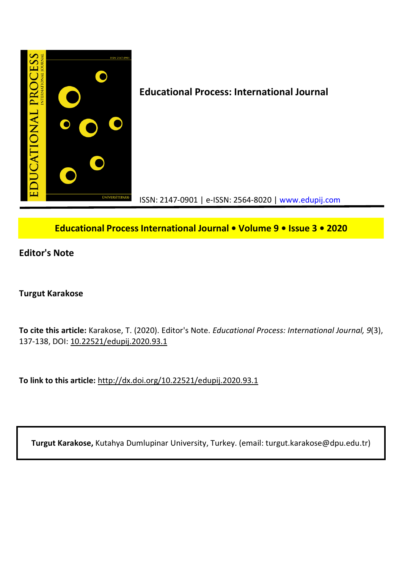

## **Educational Process International Journal • Volume 9 • Issue 3 • 2020**

**Editor's Note**

## **Turgut Karakose**

**To cite this article:** Karakose, T. (2020). Editor's Note. *Educational Process: International Journal, 9*(3), 137-138, DOI: 10.22521/edupij.2020.93.1

**To link to this article:** http://dx.doi.org/10.22521/edupij.2020.93.1

**Turgut Karakose,** Kutahya Dumlupinar University, Turkey. (email: turgut.karakose@dpu.edu.tr)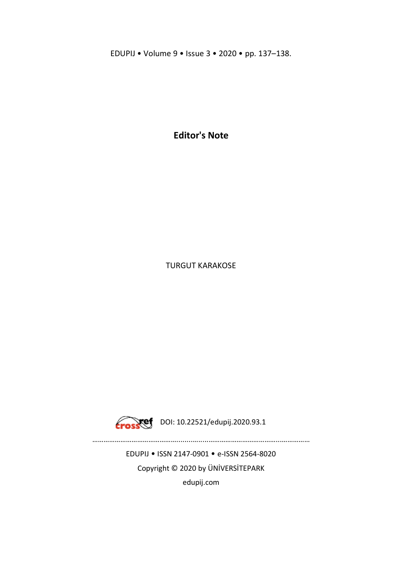EDUPIJ • Volume 9 • Issue 3 • 2020 • pp. 137–138.

**Editor's Note**

TURGUT KARAKOSE



Crosset DOI: 10.22521/edupij.2020.93.1

EDUPIJ • ISSN 2147-0901 • e-ISSN 2564-8020 Copyright © 2020 by ÜNİVERSİTEPARK edupij.com

………………………………………........….....………………………………...……………